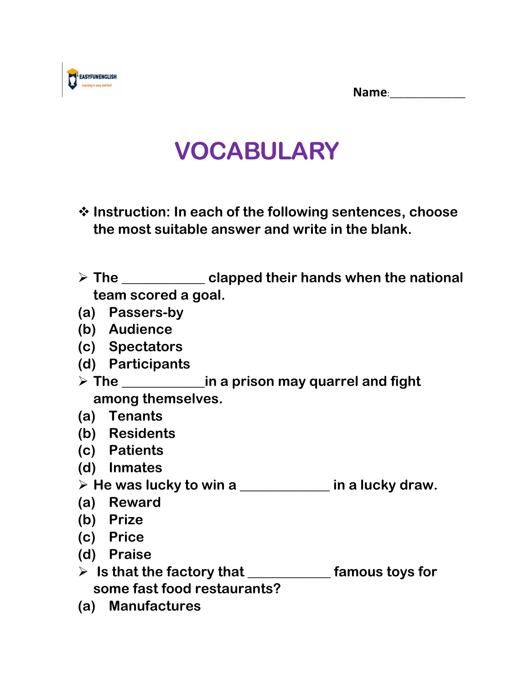**Name**:\_\_\_\_\_\_\_\_\_\_\_\_\_\_\_\_



## **VOCABULARY**

- ❖ **Instruction: In each of the following sentences, choose the most suitable answer and write in the blank.**
- ➢ **The \_\_\_\_\_\_\_\_\_\_\_\_ clapped their hands when the national team scored a goal.**
- **(a) Passers-by**
- **(b) Audience**
- **(c) Spectators**
- **(d) Participants**
- ➢ **The \_\_\_\_\_\_\_\_\_\_\_\_in a prison may quarrel and fight among themselves.**
- **(a) Tenants**
- **(b) Residents**
- **(c) Patients**
- **(d) Inmates**
- ➢ **He was lucky to win a \_\_\_\_\_\_\_\_\_\_\_\_\_ in a lucky draw.**
- **(a) Reward**
- **(b) Prize**
- **(c) Price**
- **(d) Praise**
- ➢ **Is that the factory that \_\_\_\_\_\_\_\_\_\_\_\_ famous toys for some fast food restaurants?**
- **(a) Manufactures**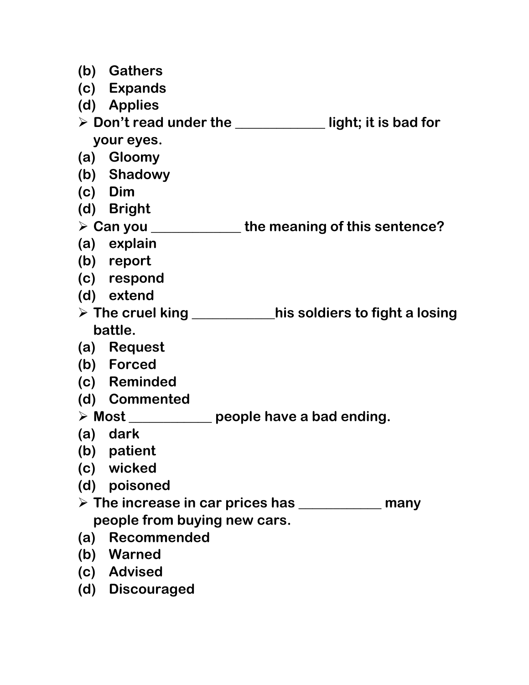|                                                                            | (b) Gathers     |                                                                        |
|----------------------------------------------------------------------------|-----------------|------------------------------------------------------------------------|
|                                                                            | (c) Expands     |                                                                        |
|                                                                            | (d) Applies     |                                                                        |
| $\triangleright$ Don't read under the ______________ light; it is bad for  |                 |                                                                        |
| your eyes.                                                                 |                 |                                                                        |
|                                                                            | (a) Gloomy      |                                                                        |
|                                                                            | (b) Shadowy     |                                                                        |
|                                                                            | $(c)$ Dim       |                                                                        |
|                                                                            | (d) Bright      |                                                                        |
|                                                                            |                 | $\triangleright$ Can you _______________ the meaning of this sentence? |
|                                                                            | (a) explain     |                                                                        |
|                                                                            | (b) report      |                                                                        |
|                                                                            | (c) respond     |                                                                        |
|                                                                            | (d) extend      |                                                                        |
| $\triangleright$ The cruel king ____________his soldiers to fight a losing |                 |                                                                        |
| battle.                                                                    |                 |                                                                        |
|                                                                            | (a) Request     |                                                                        |
|                                                                            | (b) Forced      |                                                                        |
|                                                                            | (c) Reminded    |                                                                        |
|                                                                            | (d) Commented   |                                                                        |
| $\triangleright$ Most _____________ people have a bad ending.              |                 |                                                                        |
|                                                                            | (a) dark        |                                                                        |
|                                                                            | (b) patient     |                                                                        |
|                                                                            | (c) wicked      |                                                                        |
|                                                                            | (d) poisoned    |                                                                        |
| $\triangleright$ The increase in car prices has ___________<br>many        |                 |                                                                        |
| people from buying new cars.                                               |                 |                                                                        |
| (a)                                                                        | Recommended     |                                                                        |
|                                                                            | (b) Warned      |                                                                        |
|                                                                            | (c) Advised     |                                                                        |
|                                                                            | (d) Discouraged |                                                                        |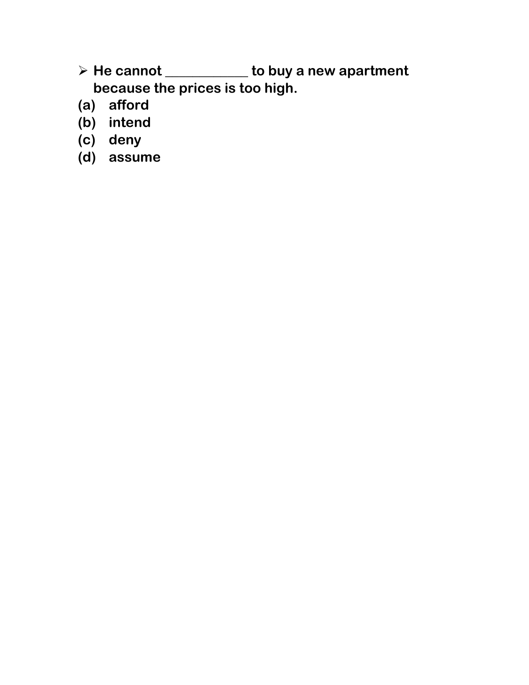➢ **He cannot \_\_\_\_\_\_\_\_\_\_\_\_ to buy a new apartment because the prices is too high.**

- **(a) afford**
- **(b) intend**
- **(c) deny**
- **(d) assume**